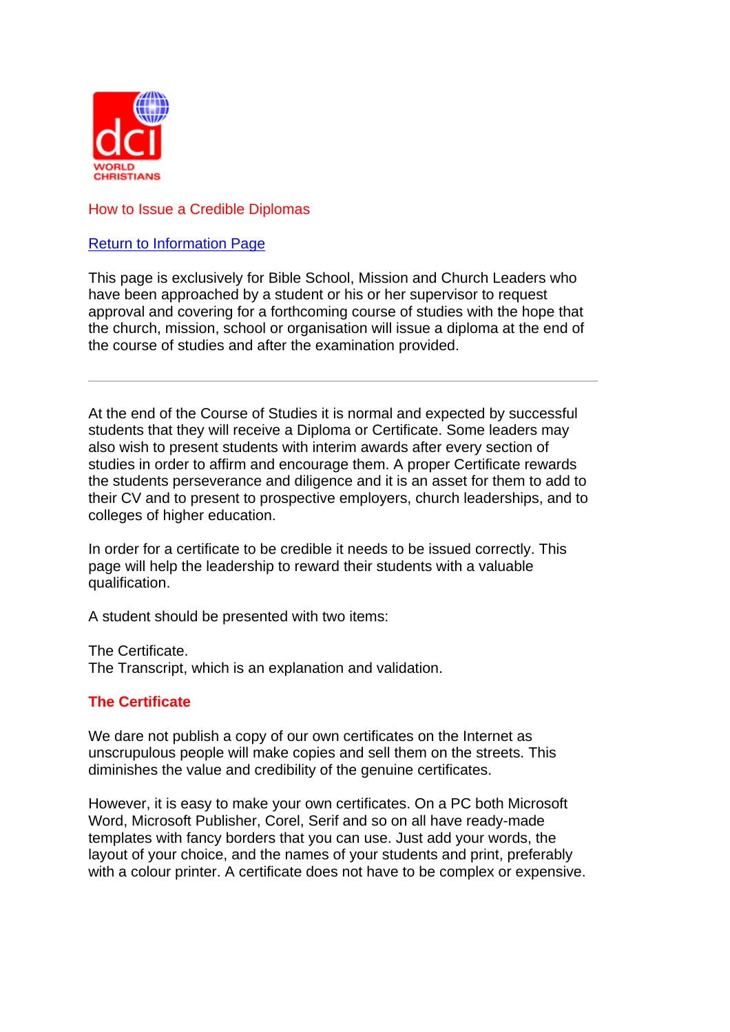

# How to Issue a Credible Diplomas

# Return to Information Page

This page is exclusively for Bible School, Mission and Church Leaders who have been approached by a student or his or her supervisor to request approval and covering for a forthcoming course of studies with the hope that the church, mission, school or organisation will issue a diploma at the end of the course of studies and after the examination provided.

At the end of the Course of Studies it is normal and expected by successful students that they will receive a Diploma or Certificate. Some leaders may also wish to present students with interim awards after every section of studies in order to affirm and encourage them. A proper Certificate rewards the students perseverance and diligence and it is an asset for them to add to their CV and to present to prospective employers, church leaderships, and to colleges of higher education.

In order for a certificate to be credible it needs to be issued correctly. This page will help the leadership to reward their students with a valuable qualification.

A student should be presented with two items:

The Certificate. The Transcript, which is an explanation and validation.

# **The Certificate**

We dare not publish a copy of our own certificates on the Internet as unscrupulous people will make copies and sell them on the streets. This diminishes the value and credibility of the genuine certificates.

However, it is easy to make your own certificates. On a PC both Microsoft Word, Microsoft Publisher, Corel, Serif and so on all have ready-made templates with fancy borders that you can use. Just add your words, the layout of your choice, and the names of your students and print, preferably with a colour printer. A certificate does not have to be complex or expensive.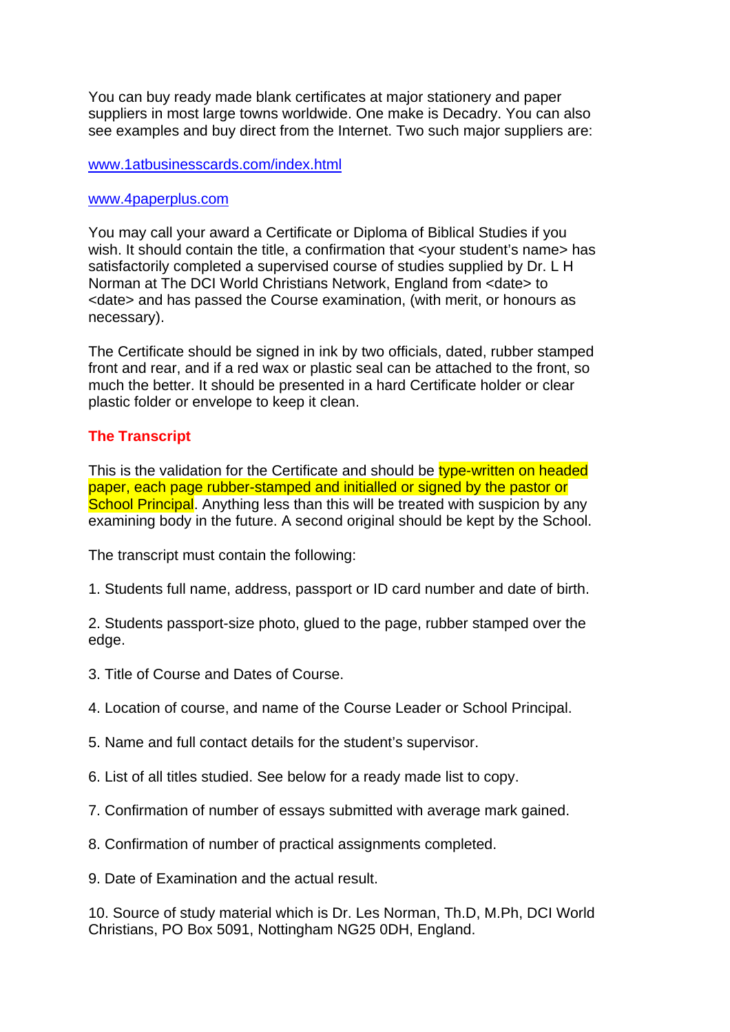You can buy ready made blank certificates at major stationery and paper suppliers in most large towns worldwide. One make is Decadry. You can also see examples and buy direct from the Internet. Two such major suppliers are:

## www.1atbusinesscards.com/index.html

## www.4paperplus.com

You may call your award a Certificate or Diploma of Biblical Studies if you wish. It should contain the title, a confirmation that <your student's name> has satisfactorily completed a supervised course of studies supplied by Dr. L H Norman at The DCI World Christians Network, England from <date> to <date> and has passed the Course examination, (with merit, or honours as necessary).

The Certificate should be signed in ink by two officials, dated, rubber stamped front and rear, and if a red wax or plastic seal can be attached to the front, so much the better. It should be presented in a hard Certificate holder or clear plastic folder or envelope to keep it clean.

# **The Transcript**

This is the validation for the Certificate and should be type-written on headed paper, each page rubber-stamped and initialled or signed by the pastor or School Principal. Anything less than this will be treated with suspicion by any examining body in the future. A second original should be kept by the School.

The transcript must contain the following:

1. Students full name, address, passport or ID card number and date of birth.

2. Students passport-size photo, glued to the page, rubber stamped over the edge.

- 3. Title of Course and Dates of Course.
- 4. Location of course, and name of the Course Leader or School Principal.
- 5. Name and full contact details for the student's supervisor.
- 6. List of all titles studied. See below for a ready made list to copy.
- 7. Confirmation of number of essays submitted with average mark gained.
- 8. Confirmation of number of practical assignments completed.

9. Date of Examination and the actual result.

10. Source of study material which is Dr. Les Norman, Th.D, M.Ph, DCI World Christians, PO Box 5091, Nottingham NG25 0DH, England.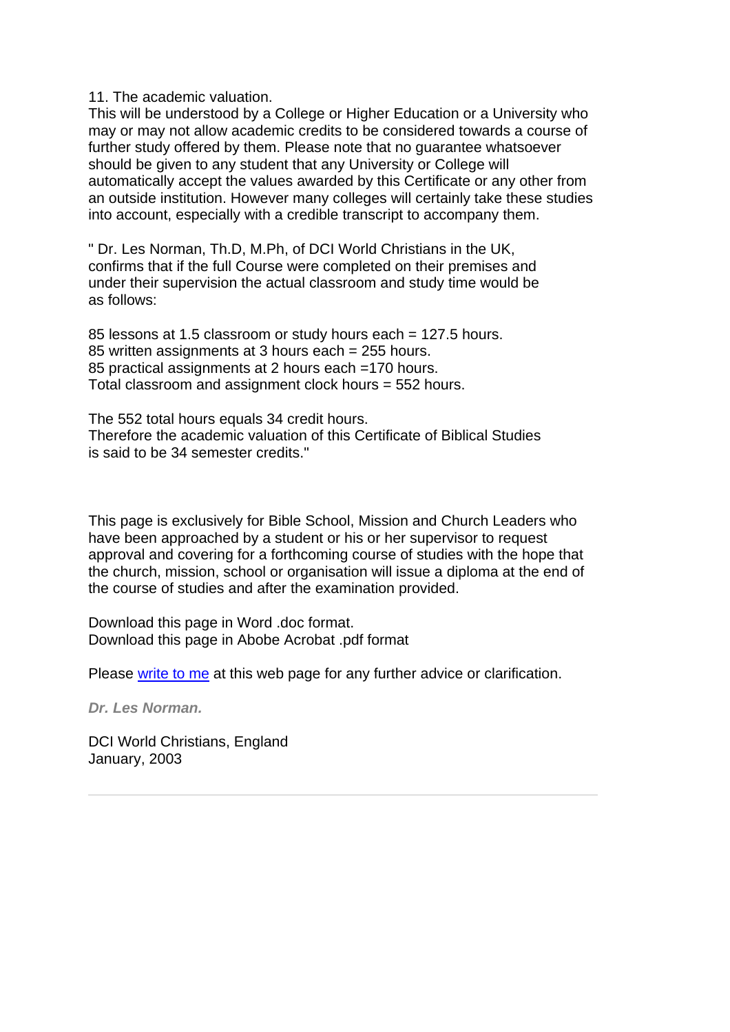11. The academic valuation.

This will be understood by a College or Higher Education or a University who may or may not allow academic credits to be considered towards a course of further study offered by them. Please note that no guarantee whatsoever should be given to any student that any University or College will automatically accept the values awarded by this Certificate or any other from an outside institution. However many colleges will certainly take these studies into account, especially with a credible transcript to accompany them.

" Dr. Les Norman, Th.D, M.Ph, of DCI World Christians in the UK, confirms that if the full Course were completed on their premises and under their supervision the actual classroom and study time would be as follows:

85 lessons at 1.5 classroom or study hours each = 127.5 hours. 85 written assignments at 3 hours each = 255 hours. 85 practical assignments at 2 hours each =170 hours. Total classroom and assignment clock hours = 552 hours.

The 552 total hours equals 34 credit hours. Therefore the academic valuation of this Certificate of Biblical Studies is said to be 34 semester credits."

This page is exclusively for Bible School, Mission and Church Leaders who have been approached by a student or his or her supervisor to request approval and covering for a forthcoming course of studies with the hope that the church, mission, school or organisation will issue a diploma at the end of the course of studies and after the examination provided.

Download this page in Word .doc format. Download this page in Abobe Acrobat .pdf format

Please write to me at this web page for any further advice or clarification.

*Dr. Les Norman.*

DCI World Christians, England January, 2003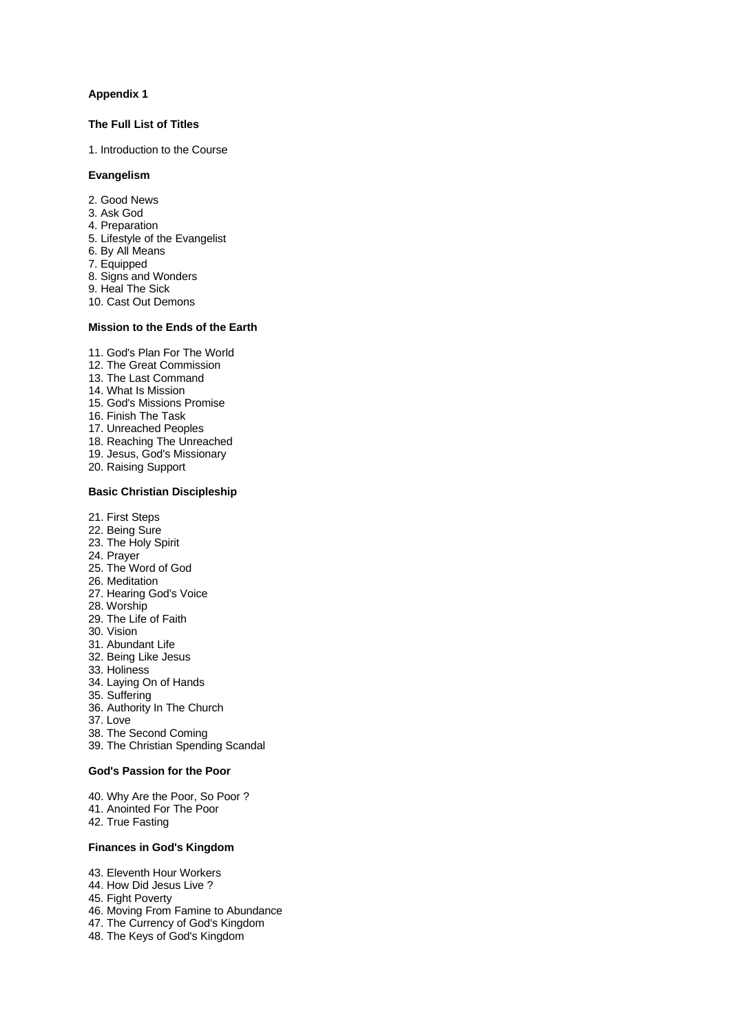#### **Appendix 1**

#### **The Full List of Titles**

1. Introduction to the Course

#### **Evangelism**

- 2. Good News
- 3. Ask God
- 4. Preparation
- 5. Lifestyle of the Evangelist
- 6. By All Means
- 7. Equipped
- 8. Signs and Wonders
- 9. Heal The Sick
- 10. Cast Out Demons

#### **Mission to the Ends of the Earth**

- 11. God's Plan For The World
- 12. The Great Commission
- 13. The Last Command
- 14. What Is Mission
- 15. God's Missions Promise
- 16. Finish The Task
- 17. Unreached Peoples
- 18. Reaching The Unreached
- 19. Jesus, God's Missionary
- 20. Raising Support

#### **Basic Christian Discipleship**

- 21. First Steps
- 22. Being Sure
- 23. The Holy Spirit
- 24. Prayer
- 25. The Word of God
- 26. Meditation
- 27. Hearing God's Voice
- 28. Worship
- 29. The Life of Faith
- 30. Vision
- 31. Abundant Life
- 32. Being Like Jesus
- 33. Holiness
- 34. Laying On of Hands
- 35. Suffering
- 36. Authority In The Church
- 37. Love
- 38. The Second Coming
- 39. The Christian Spending Scandal

### **God's Passion for the Poor**

- 40. Why Are the Poor, So Poor ?
- 41. Anointed For The Poor
- 42. True Fasting

### **Finances in God's Kingdom**

- 43. Eleventh Hour Workers
- 44. How Did Jesus Live ?
- 45. Fight Poverty
- 46. Moving From Famine to Abundance
- 47. The Currency of God's Kingdom
- 48. The Keys of God's Kingdom